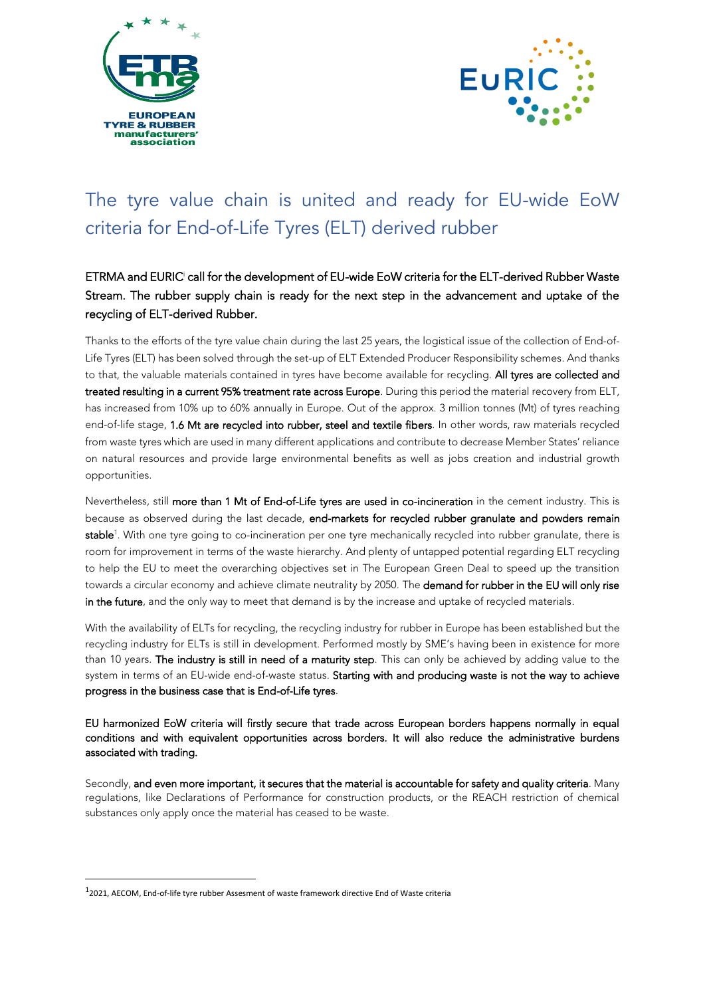



## The tyre value chain is united and ready for EU-wide EoW criteria for End-of-Life Tyres (ELT) derived rubber

## ETRMA and EURIC<sup>i</sup> call for the development of EU-wide EoW criteria for the ELT-derived Rubber Waste Stream. The rubber supply chain is ready for the next step in the advancement and uptake of the recycling of ELT-derived Rubber.

Thanks to the efforts of the tyre value chain during the last 25 years, the logistical issue of the collection of End-of-Life Tyres (ELT) has been solved through the set-up of ELT Extended Producer Responsibility schemes. And thanks to that, the valuable materials contained in tyres have become available for recycling. All tyres are collected and treated resulting in a current 95% treatment rate across Europe. During this period the material recovery from ELT, has increased from 10% up to 60% annually in Europe. Out of the approx. 3 million tonnes (Mt) of tyres reaching end-of-life stage, 1.6 Mt are recycled into rubber, steel and textile fibers. In other words, raw materials recycled from waste tyres which are used in many different applications and contribute to decrease Member States' reliance on natural resources and provide large environmental benefits as well as jobs creation and industrial growth opportunities.

Nevertheless, still more than 1 Mt of End-of-Life tyres are used in co-incineration in the cement industry. This is because as observed during the last decade, end-markets for recycled rubber granulate and powders remain **stable**<sup>1</sup>. With one tyre going to co-incineration per one tyre mechanically recycled into rubber granulate, there is room for improvement in terms of the waste hierarchy. And plenty of untapped potential regarding ELT recycling to help the EU to meet the overarching objectives set in The European Green Deal to speed up the transition towards a circular economy and achieve climate neutrality by 2050. The demand for rubber in the EU will only rise in the future, and the only way to meet that demand is by the increase and uptake of recycled materials.

With the availability of ELTs for recycling, the recycling industry for rubber in Europe has been established but the recycling industry for ELTs is still in development. Performed mostly by SME's having been in existence for more than 10 years. The industry is still in need of a maturity step. This can only be achieved by adding value to the system in terms of an EU-wide end-of-waste status. Starting with and producing waste is not the way to achieve progress in the business case that is End-of-Life tyres.

EU harmonized EoW criteria will firstly secure that trade across European borders happens normally in equal conditions and with equivalent opportunities across borders. It will also reduce the administrative burdens associated with trading.

Secondly, and even more important, it secures that the material is accountable for safety and quality criteria. Many regulations, like Declarations of Performance for construction products, or the REACH restriction of chemical substances only apply once the material has ceased to be waste.

<sup>1</sup> 2021, AECOM, End-of-life tyre rubber Assesment of waste framework directive End of Waste criteria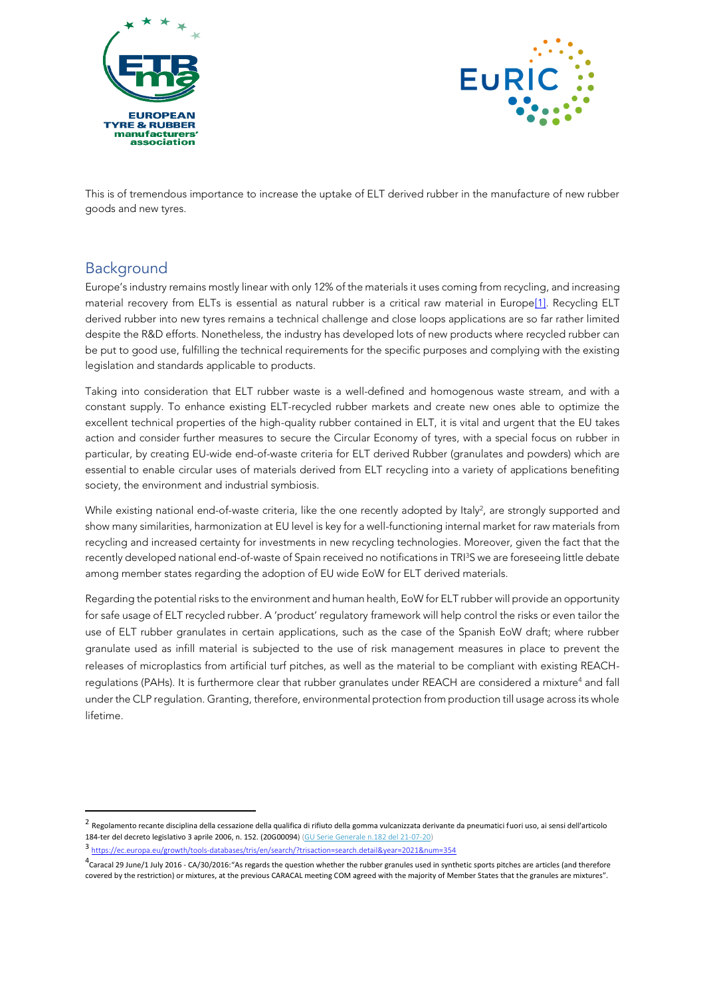



This is of tremendous importance to increase the uptake of ELT derived rubber in the manufacture of new rubber goods and new tyres.

## Background

Europe's industry remains mostly linear with only 12% of the materials it uses coming from recycling, and increasing material recovery from ELTs is essential as natural rubber is a critical raw material in Europ[e\[1\].](https://www.euric-aisbl.eu/position-papers#_ftn1) Recycling ELT derived rubber into new tyres remains a technical challenge and close loops applications are so far rather limited despite the R&D efforts. Nonetheless, the industry has developed lots of new products where recycled rubber can be put to good use, fulfilling the technical requirements for the specific purposes and complying with the existing legislation and standards applicable to products.

Taking into consideration that ELT rubber waste is a well-defined and homogenous waste stream, and with a constant supply. To enhance existing ELT-recycled rubber markets and create new ones able to optimize the excellent technical properties of the high-quality rubber contained in ELT, it is vital and urgent that the EU takes action and consider further measures to secure the Circular Economy of tyres, with a special focus on rubber in particular, by creating EU-wide end-of-waste criteria for ELT derived Rubber (granulates and powders) which are essential to enable circular uses of materials derived from ELT recycling into a variety of applications benefiting society, the environment and industrial symbiosis.

While existing national end-of-waste criteria, like the one recently adopted by Italy<sup>2</sup>, are strongly supported and show many similarities, harmonization at EU level is key for a well-functioning internal market for raw materials from recycling and increased certainty for investments in new recycling technologies. Moreover, given the fact that the recently developed national end-of-waste of Spain received no notifications in TRI<sup>3</sup>S we are foreseeing little debate among member states regarding the adoption of EU wide EoW for ELT derived materials.

Regarding the potential risks to the environment and human health, EoW for ELT rubber will provide an opportunity for safe usage of ELT recycled rubber. A 'product' regulatory framework will help control the risks or even tailor the use of ELT rubber granulates in certain applications, such as the case of the Spanish EoW draft; where rubber granulate used as infill material is subjected to the use of risk management measures in place to prevent the releases of microplastics from artificial turf pitches, as well as the material to be compliant with existing REACHregulations (PAHs). It is furthermore clear that rubber granulates under REACH are considered a mixture<sup>4</sup> and fall under the CLP regulation. Granting, therefore, environmental protection from production till usage across its whole lifetime.

<sup>&</sup>lt;sup>2</sup> Regolamento recante disciplina della cessazione della qualifica di rifiuto della gomma vulcanizzata derivante da pneumatici fuori uso, ai sensi dell'articolo 184-ter del decreto legislativo 3 aprile 2006, n. 152. (20G00094) [\(GU Serie Generale n.182 del 21-07-20\)](https://www.gazzettaufficiale.it/atto/serie_generale/caricaDettaglioAtto/originario?atto.dataPubblicazioneGazzetta=2020-07-21&atto.codiceRedazionale=20G00094&elenco30giorni=false)

 $3$  https://e <https://ec.europa.eu/growth/tools-databases/tris/en/search/?trisaction=search.detail&year=2021&num=354>

 $^4$ Caracal 29 June/1 July 2016 - CA/30/2016: "As regards the question whether the rubber granules used in synthetic sports pitches are articles (and therefore covered by the restriction) or mixtures, at the previous CARACAL meeting COM agreed with the majority of Member States that the granules are mixtures".